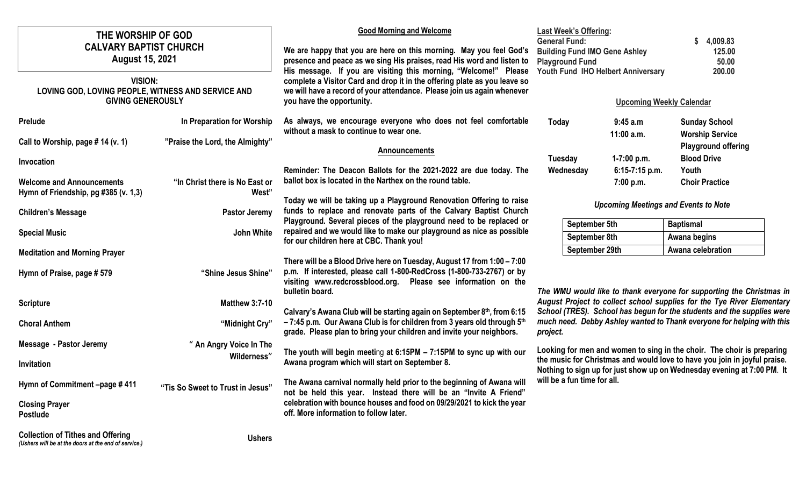| THE WORSHIP OF GOD<br><b>CALVARY BAPTIST CHURCH</b><br><b>August 15, 2021</b><br><b>VISION:</b><br>LOVING GOD, LOVING PEOPLE, WITNESS AND SERVICE AND |                                         | <b>Good Morning and Welcome</b><br>We are happy that you are here on this morning. May you feel God's<br>presence and peace as we sing His praises, read His word and listen to<br>His message. If you are visiting this morning, "Welcome!" Please<br>complete a Visitor Card and drop it in the offering plate as you leave so<br>we will have a record of your attendance. Please join us again whenever | <b>Last Week's Offering:</b><br><b>General Fund:</b><br><b>Building Fund IMO Gene Ashley</b><br><b>Playground Fund</b><br>Youth Fund IHO Helbert Anniversary |                         | 4,009.83<br>125.00<br>50.00<br>200.00                                  |  |
|-------------------------------------------------------------------------------------------------------------------------------------------------------|-----------------------------------------|-------------------------------------------------------------------------------------------------------------------------------------------------------------------------------------------------------------------------------------------------------------------------------------------------------------------------------------------------------------------------------------------------------------|--------------------------------------------------------------------------------------------------------------------------------------------------------------|-------------------------|------------------------------------------------------------------------|--|
| <b>GIVING GENEROUSLY</b>                                                                                                                              |                                         | you have the opportunity.                                                                                                                                                                                                                                                                                                                                                                                   | <b>Upcoming Weekly Calendar</b>                                                                                                                              |                         |                                                                        |  |
| Prelude                                                                                                                                               | In Preparation for Worship              | As always, we encourage everyone who does not feel comfortable<br>without a mask to continue to wear one.                                                                                                                                                                                                                                                                                                   | Today                                                                                                                                                        | 9:45a.m<br>$11:00$ a.m. | <b>Sunday School</b><br><b>Worship Service</b>                         |  |
| Call to Worship, page # 14 (v. 1)                                                                                                                     | "Praise the Lord, the Almighty"         | <b>Announcements</b>                                                                                                                                                                                                                                                                                                                                                                                        | Tuesday                                                                                                                                                      | 1-7:00 p.m.             | <b>Playground offering</b><br><b>Blood Drive</b>                       |  |
| Invocation                                                                                                                                            |                                         | Reminder: The Deacon Ballots for the 2021-2022 are due today. The                                                                                                                                                                                                                                                                                                                                           | Wednesday                                                                                                                                                    | $6:15-7:15$ p.m.        | Youth                                                                  |  |
| <b>Welcome and Announcements</b><br>Hymn of Friendship, pg #385 (v. 1,3)                                                                              | "In Christ there is No East or<br>West" | ballot box is located in the Narthex on the round table.                                                                                                                                                                                                                                                                                                                                                    |                                                                                                                                                              | 7:00 p.m.               | <b>Choir Practice</b>                                                  |  |
| <b>Children's Message</b>                                                                                                                             | <b>Pastor Jeremy</b>                    | Today we will be taking up a Playground Renovation Offering to raise<br>funds to replace and renovate parts of the Calvary Baptist Church<br>Playground. Several pieces of the playground need to be replaced or                                                                                                                                                                                            | <b>Upcoming Meetings and Events to Note</b>                                                                                                                  |                         |                                                                        |  |
| <b>Special Music</b>                                                                                                                                  | John White                              | repaired and we would like to make our playground as nice as possible                                                                                                                                                                                                                                                                                                                                       | September 5th                                                                                                                                                |                         | <b>Baptismal</b>                                                       |  |
|                                                                                                                                                       |                                         | for our children here at CBC. Thank you!                                                                                                                                                                                                                                                                                                                                                                    | September 8th<br>September 29th                                                                                                                              |                         | Awana begins<br>Awana celebration                                      |  |
| <b>Meditation and Morning Prayer</b><br>Hymn of Praise, page #579                                                                                     | "Shine Jesus Shine"                     | There will be a Blood Drive here on Tuesday, August 17 from 1:00 - 7:00<br>p.m. If interested, please call 1-800-RedCross (1-800-733-2767) or by<br>visiting www.redcrossblood.org. Please see information on the<br>bulletin board.                                                                                                                                                                        |                                                                                                                                                              |                         | The WMU would like to thank everyone for supporting the Christmas in   |  |
| <b>Scripture</b>                                                                                                                                      | <b>Matthew 3:7-10</b>                   |                                                                                                                                                                                                                                                                                                                                                                                                             |                                                                                                                                                              |                         | August Project to collect school supplies for the Tye River Elementary |  |
| <b>Choral Anthem</b>                                                                                                                                  | "Midnight Cry"                          | Calvary's Awana Club will be starting again on September 8th, from 6:15<br>-7:45 p.m. Our Awana Club is for children from 3 years old through 5th<br>grade. Please plan to bring your children and invite your neighbors.                                                                                                                                                                                   | School (TRES). School has begun for the students and the supplies were<br>much need. Debby Ashley wanted to Thank everyone for helping with this<br>project. |                         |                                                                        |  |
| <b>Message - Pastor Jeremy</b>                                                                                                                        | " An Angry Voice In The                 |                                                                                                                                                                                                                                                                                                                                                                                                             | Looking for men and women to sing in the choir. The choir is preparing                                                                                       |                         |                                                                        |  |
| Invitation                                                                                                                                            | Wilderness"                             | The youth will begin meeting at 6:15PM - 7:15PM to sync up with our<br>Awana program which will start on September 8.                                                                                                                                                                                                                                                                                       | the music for Christmas and would love to have you join in joyful praise.<br>Nothing to sign up for just show up on Wednesday evening at 7:00 PM. It         |                         |                                                                        |  |
| Hymn of Commitment -page #411                                                                                                                         | "Tis So Sweet to Trust in Jesus"        | The Awana carnival normally held prior to the beginning of Awana will<br>not be held this year. Instead there will be an "Invite A Friend"                                                                                                                                                                                                                                                                  | will be a fun time for all.                                                                                                                                  |                         |                                                                        |  |
| <b>Closing Prayer</b><br><b>Postlude</b>                                                                                                              |                                         | celebration with bounce houses and food on 09/29/2021 to kick the year<br>off. More information to follow later.                                                                                                                                                                                                                                                                                            |                                                                                                                                                              |                         |                                                                        |  |
| <b>Collection of Tithes and Offering</b><br>(Ushers will be at the doors at the end of service.)                                                      | <b>Ushers</b>                           |                                                                                                                                                                                                                                                                                                                                                                                                             |                                                                                                                                                              |                         |                                                                        |  |